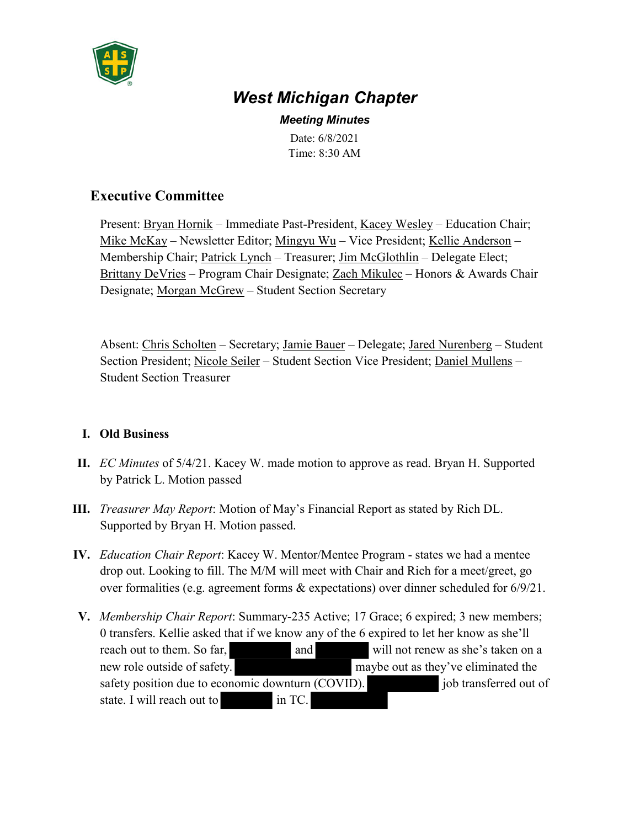

# *West Michigan Chapter*

*Meeting Minutes* Date: 6/8/2021 Time: 8:30 AM

## **Executive Committee**

Present: Bryan Hornik – Immediate Past-President, Kacey Wesley – Education Chair; Mike McKay – Newsletter Editor; Mingyu Wu – Vice President; Kellie Anderson – Membership Chair; Patrick Lynch – Treasurer; Jim McGlothlin – Delegate Elect; Brittany DeVries – Program Chair Designate; Zach Mikulec – Honors & Awards Chair Designate; Morgan McGrew – Student Section Secretary

Absent: Chris Scholten – Secretary; Jamie Bauer – Delegate; Jared Nurenberg – Student Section President; Nicole Seiler – Student Section Vice President; Daniel Mullens – Student Section Treasurer

#### **I. Old Business**

- **II.** *EC Minutes* of 5/4/21. Kacey W. made motion to approve as read. Bryan H. Supported by Patrick L. Motion passed
- **III.** *Treasurer May Report*: Motion of May's Financial Report as stated by Rich DL. Supported by Bryan H. Motion passed.
- **IV.** *Education Chair Report*: Kacey W. Mentor/Mentee Program states we had a mentee drop out. Looking to fill. The M/M will meet with Chair and Rich for a meet/greet, go over formalities (e.g. agreement forms & expectations) over dinner scheduled for 6/9/21.
- **V.** *Membership Chair Report*: Summary-235 Active; 17 Grace; 6 expired; 3 new members; 0 transfers. Kellie asked that if we know any of the 6 expired to let her know as she'll reach out to them. So far, and will not renew as she's taken on a new role outside of safety. maybe out as they've eliminated the safety position due to economic downturn (COVID). job transferred out of state. I will reach out to in TC.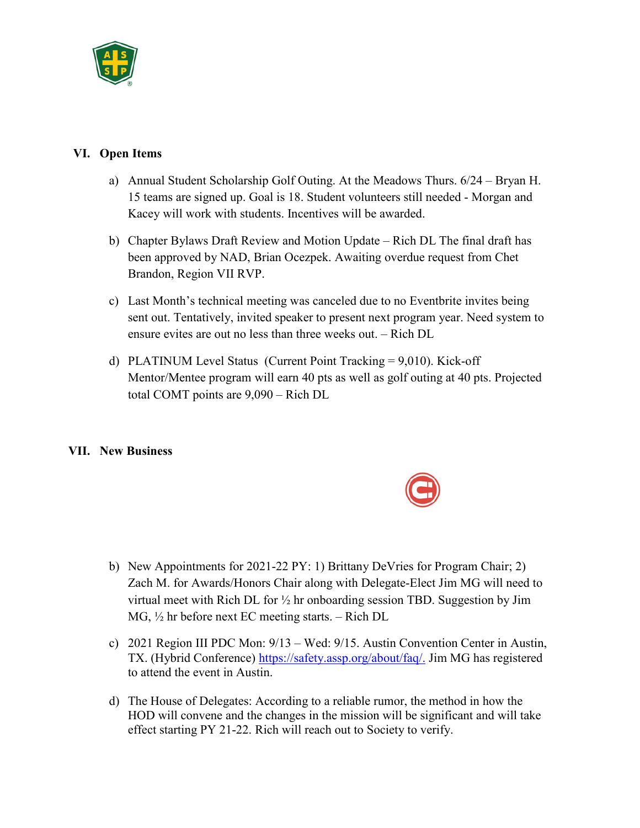

#### **VI. Open Items**

- a) Annual Student Scholarship Golf Outing. At the Meadows Thurs. 6/24 Bryan H. 15 teams are signed up. Goal is 18. Student volunteers still needed - Morgan and Kacey will work with students. Incentives will be awarded.
- b) Chapter Bylaws Draft Review and Motion Update Rich DL The final draft has been approved by NAD, Brian Ocezpek. Awaiting overdue request from Chet Brandon, Region VII RVP.
- c) Last Month's technical meeting was canceled due to no Eventbrite invites being sent out. Tentatively, invited speaker to present next program year. Need system to ensure evites are out no less than three weeks out. – Rich DL
- d) PLATINUM Level Status (Current Point Tracking = 9,010). Kick-off Mentor/Mentee program will earn 40 pts as well as golf outing at 40 pts. Projected total COMT points are 9,090 – Rich DL

### **VII. New Business**

- b) New Appointments for 2021-22 PY: 1) Brittany DeVries for Program Chair; 2) Zach M. for Awards/Honors Chair along with Delegate-Elect Jim MG will need to virtual meet with Rich DL for ½ hr onboarding session TBD. Suggestion by Jim MG, ½ hr before next EC meeting starts. – Rich DL
- c) 2021 Region III PDC Mon: 9/13 Wed: 9/15. Austin Convention Center in Austin, TX. (Hybrid Conference) https://safety.assp.org/about/faq/. Jim MG has registered to attend the event in Austin.
- d) The House of Delegates: According to a reliable rumor, the method in how the HOD will convene and the changes in the mission will be significant and will take effect starting PY 21-22. Rich will reach out to Society to verify.